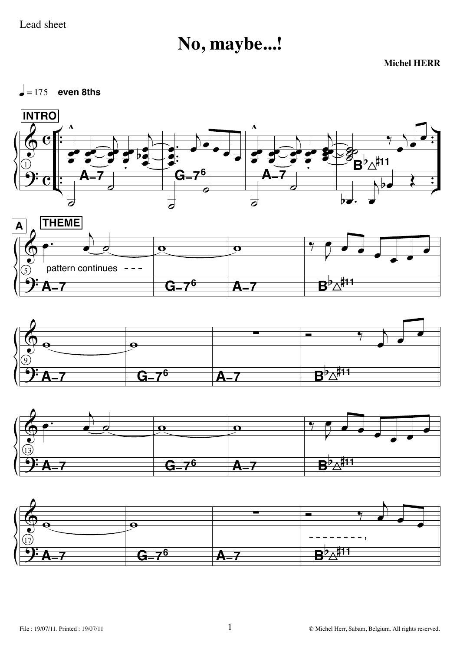## No, maybe...!

**Michel HERR** 

 $\vert$  = 175 even 8ths









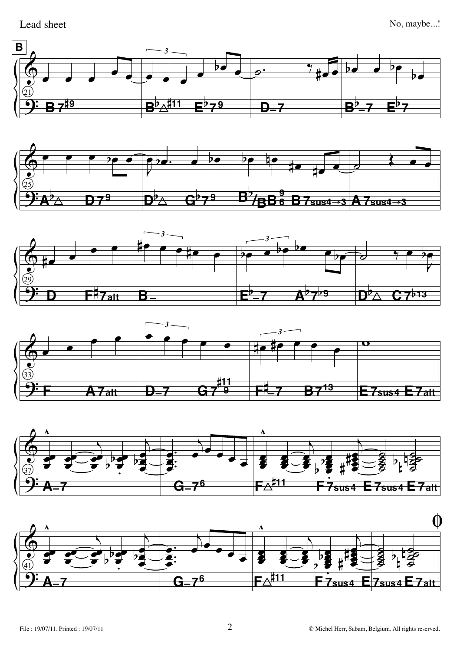Lead sheet











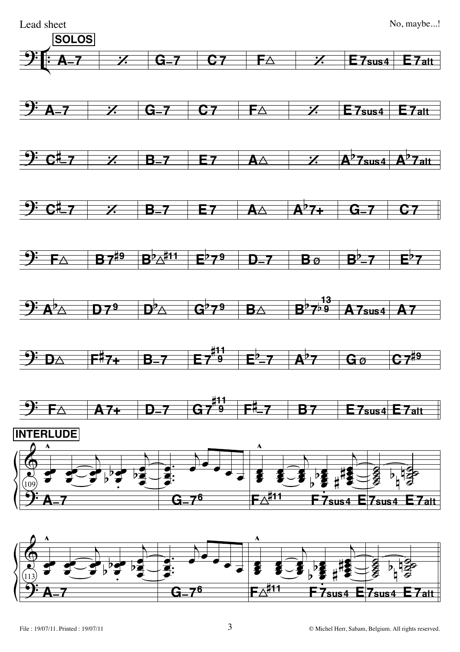